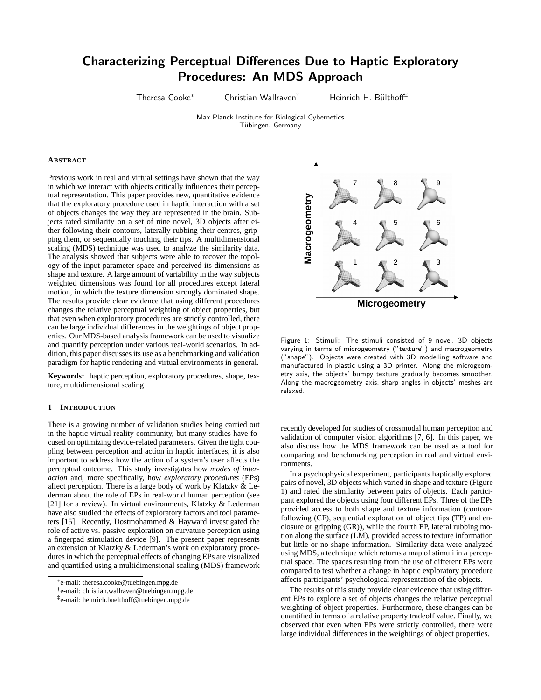# Characterizing Perceptual Differences Due to Haptic Exploratory Procedures: An MDS Approach

Theresa Cooke<sup>∗</sup> Christian Wallraven<sup>†</sup> Heinrich H. Bülthoff<sup>‡</sup>

Max Planck Institute for Biological Cybernetics Tübingen, Germany

# **ABSTRACT**

Previous work in real and virtual settings have shown that the way in which we interact with objects critically influences their perceptual representation. This paper provides new, quantitative evidence that the exploratory procedure used in haptic interaction with a set of objects changes the way they are represented in the brain. Subjects rated similarity on a set of nine novel, 3D objects after either following their contours, laterally rubbing their centres, gripping them, or sequentially touching their tips. A multidimensional scaling (MDS) technique was used to analyze the similarity data. The analysis showed that subjects were able to recover the topology of the input parameter space and perceived its dimensions as shape and texture. A large amount of variability in the way subjects weighted dimensions was found for all procedures except lateral motion, in which the texture dimension strongly dominated shape. The results provide clear evidence that using different procedures changes the relative perceptual weighting of object properties, but that even when exploratory procedures are strictly controlled, there can be large individual differences in the weightings of object properties. Our MDS-based analysis framework can be used to visualize and quantify perception under various real-world scenarios. In addition, this paper discusses its use as a benchmarking and validation paradigm for haptic rendering and virtual environments in general.

**Keywords:** haptic perception, exploratory procedures, shape, texture, multidimensional scaling

# **1 INTRODUCTION**

There is a growing number of validation studies being carried out in the haptic virtual reality community, but many studies have focused on optimizing device-related parameters. Given the tight coupling between perception and action in haptic interfaces, it is also important to address how the action of a system's user affects the perceptual outcome. This study investigates how *modes of interaction* and, more specifically, how *exploratory procedures* (EPs) affect perception. There is a large body of work by Klatzky & Lederman about the role of EPs in real-world human perception (see [21] for a review). In virtual environments, Klatzky & Lederman have also studied the effects of exploratory factors and tool parameters [15]. Recently, Dostmohammed & Hayward investigated the role of active vs. passive exploration on curvature perception using a fingerpad stimulation device [9]. The present paper represents an extension of Klatzky & Lederman's work on exploratory procedures in which the perceptual effects of changing EPs are visualized and quantified using a multidimensional scaling (MDS) framework



Figure 1: Stimuli: The stimuli consisted of 9 novel, 3D objects varying in terms of microgeometry ("texture") and macrogeometry ("shape"). Objects were created with 3D modelling software and manufactured in plastic using a 3D printer. Along the microgeometry axis, the objects' bumpy texture gradually becomes smoother. Along the macrogeometry axis, sharp angles in objects' meshes are relaxed.

recently developed for studies of crossmodal human perception and validation of computer vision algorithms [7, 6]. In this paper, we also discuss how the MDS framework can be used as a tool for comparing and benchmarking perception in real and virtual environments.

In a psychophysical experiment, participants haptically explored pairs of novel, 3D objects which varied in shape and texture (Figure 1) and rated the similarity between pairs of objects. Each participant explored the objects using four different EPs. Three of the EPs provided access to both shape and texture information (contourfollowing (CF), sequential exploration of object tips (TP) and enclosure or gripping (GR)), while the fourth EP, lateral rubbing motion along the surface (LM), provided access to texture information but little or no shape information. Similarity data were analyzed using MDS, a technique which returns a map of stimuli in a perceptual space. The spaces resulting from the use of different EPs were compared to test whether a change in haptic exploratory procedure affects participants' psychological representation of the objects.

The results of this study provide clear evidence that using different EPs to explore a set of objects changes the relative perceptual weighting of object properties. Furthermore, these changes can be quantified in terms of a relative property tradeoff value. Finally, we observed that even when EPs were strictly controlled, there were large individual differences in the weightings of object properties.

<sup>∗</sup> e-mail: theresa.cooke@tuebingen.mpg.de

<sup>†</sup> e-mail: christian.wallraven@tuebingen.mpg.de

<sup>‡</sup> e-mail: heinrich.buelthoff@tuebingen.mpg.de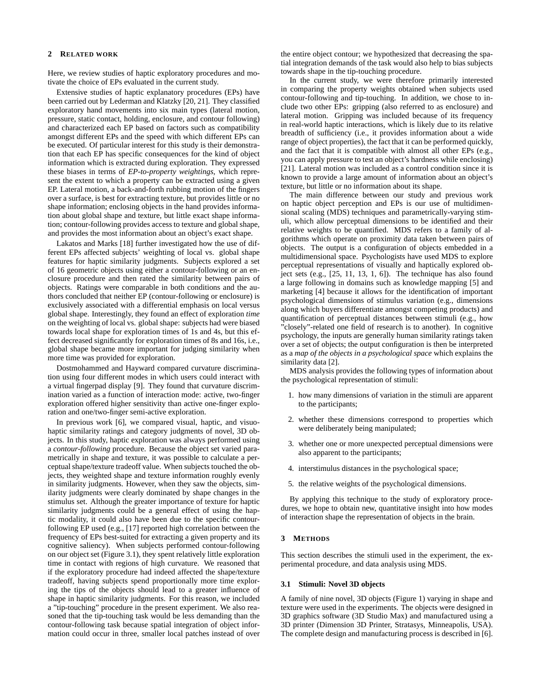### **2 RELATED WORK**

Here, we review studies of haptic exploratory procedures and motivate the choice of EPs evaluated in the current study.

Extensive studies of haptic explanatory procedures (EPs) have been carried out by Lederman and Klatzky [20, 21]. They classified exploratory hand movements into six main types (lateral motion, pressure, static contact, holding, enclosure, and contour following) and characterized each EP based on factors such as compatibility amongst different EPs and the speed with which different EPs can be executed. Of particular interest for this study is their demonstration that each EP has specific consequences for the kind of object information which is extracted during exploration. They expressed these biases in terms of *EP-to-property weightings*, which represent the extent to which a property can be extracted using a given EP. Lateral motion, a back-and-forth rubbing motion of the fingers over a surface, is best for extracting texture, but provides little or no shape information; enclosing objects in the hand provides information about global shape and texture, but little exact shape information; contour-following provides access to texture and global shape, and provides the most information about an object's exact shape.

Lakatos and Marks [18] further investigated how the use of different EPs affected subjects' weighting of local vs. global shape features for haptic similarity judgments. Subjects explored a set of 16 geometric objects using either a contour-following or an enclosure procedure and then rated the similarity between pairs of objects. Ratings were comparable in both conditions and the authors concluded that neither EP (contour-following or enclosure) is exclusively associated with a differential emphasis on local versus global shape. Interestingly, they found an effect of exploration *time* on the weighting of local vs. global shape: subjects had were biased towards local shape for exploration times of 1s and 4s, but this effect decreased significantly for exploration times of 8s and 16s, i.e., global shape became more important for judging similarity when more time was provided for exploration.

Dostmohammed and Hayward compared curvature discrimination using four different modes in which users could interact with a virtual fingerpad display [9]. They found that curvature discrimination varied as a function of interaction mode: active, two-finger exploration offered higher sensitivity than active one-finger exploration and one/two-finger semi-active exploration.

In previous work [6], we compared visual, haptic, and visuohaptic similarity ratings and category judgments of novel, 3D objects. In this study, haptic exploration was always performed using a *contour-following* procedure. Because the object set varied parametrically in shape and texture, it was possible to calculate a perceptual shape/texture tradeoff value. When subjects touched the objects, they weighted shape and texture information roughly evenly in similarity judgments. However, when they saw the objects, similarity judgments were clearly dominated by shape changes in the stimulus set. Although the greater importance of texture for haptic similarity judgments could be a general effect of using the haptic modality, it could also have been due to the specific contourfollowing EP used (e.g., [17] reported high correlation between the frequency of EPs best-suited for extracting a given property and its cognitive saliency). When subjects performed contour-following on our object set (Figure 3.1), they spent relatively little exploration time in contact with regions of high curvature. We reasoned that if the exploratory procedure had indeed affected the shape/texture tradeoff, having subjects spend proportionally more time exploring the tips of the objects should lead to a greater influence of shape in haptic similarity judgments. For this reason, we included a "tip-touching" procedure in the present experiment. We also reasoned that the tip-touching task would be less demanding than the contour-following task because spatial integration of object information could occur in three, smaller local patches instead of over

the entire object contour; we hypothesized that decreasing the spatial integration demands of the task would also help to bias subjects towards shape in the tip-touching procedure.

In the current study, we were therefore primarily interested in comparing the property weights obtained when subjects used contour-following and tip-touching. In addition, we chose to include two other EPs: gripping (also referred to as enclosure) and lateral motion. Gripping was included because of its frequency in real-world haptic interactions, which is likely due to its relative breadth of sufficiency (i.e., it provides information about a wide range of object properties), the fact that it can be performed quickly, and the fact that it is compatible with almost all other EPs (e.g., you can apply pressure to test an object's hardness while enclosing) [21]. Lateral motion was included as a control condition since it is known to provide a large amount of information about an object's texture, but little or no information about its shape.

The main difference between our study and previous work on haptic object perception and EPs is our use of multidimensional scaling (MDS) techniques and parametrically-varying stimuli, which allow perceptual dimensions to be identified and their relative weights to be quantified. MDS refers to a family of algorithms which operate on proximity data taken between pairs of objects. The output is a configuration of objects embedded in a multidimensional space. Psychologists have used MDS to explore perceptual representations of visually and haptically explored object sets (e.g., [25, 11, 13, 1, 6]). The technique has also found a large following in domains such as knowledge mapping [5] and marketing [4] because it allows for the identification of important psychological dimensions of stimulus variation (e.g., dimensions along which buyers differentiate amongst competing products) and quantification of perceptual distances between stimuli (e.g., how "closely"-related one field of research is to another). In cognitive psychology, the inputs are generally human similarity ratings taken over a set of objects; the output configuration is then be interpreted as a *map of the objects in a psychological space* which explains the similarity data [2].

MDS analysis provides the following types of information about the psychological representation of stimuli:

- 1. how many dimensions of variation in the stimuli are apparent to the participants;
- 2. whether these dimensions correspond to properties which were deliberately being manipulated;
- 3. whether one or more unexpected perceptual dimensions were also apparent to the participants;
- 4. interstimulus distances in the psychological space;
- 5. the relative weights of the psychological dimensions.

By applying this technique to the study of exploratory procedures, we hope to obtain new, quantitative insight into how modes of interaction shape the representation of objects in the brain.

#### **3 METHODS**

This section describes the stimuli used in the experiment, the experimental procedure, and data analysis using MDS.

### **3.1 Stimuli: Novel 3D objects**

A family of nine novel, 3D objects (Figure 1) varying in shape and texture were used in the experiments. The objects were designed in 3D graphics software (3D Studio Max) and manufactured using a 3D printer (Dimension 3D Printer, Stratasys, Minneapolis, USA). The complete design and manufacturing process is described in [6].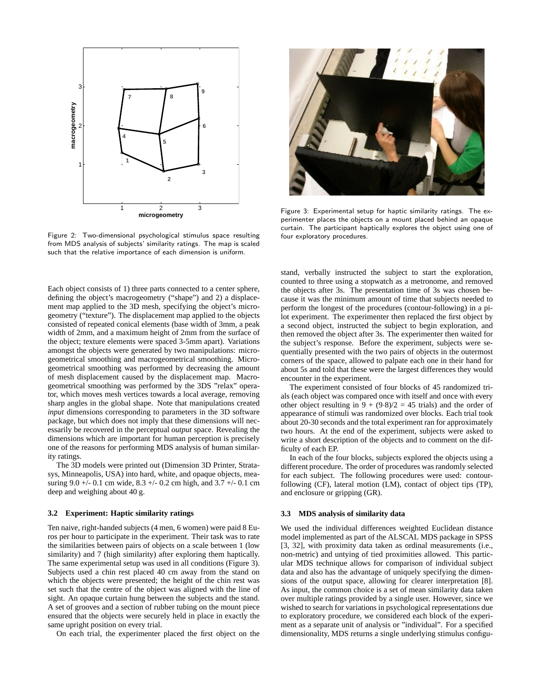

Figure 2: Two-dimensional psychological stimulus space resulting from MDS analysis of subjects' similarity ratings. The map is scaled such that the relative importance of each dimension is uniform.

Each object consists of 1) three parts connected to a center sphere, defining the object's macrogeometry ("shape") and 2) a displacement map applied to the 3D mesh, specifying the object's microgeometry ("texture"). The displacement map applied to the objects consisted of repeated conical elements (base width of 3mm, a peak width of 2mm, and a maximum height of 2mm from the surface of the object; texture elements were spaced 3-5mm apart). Variations amongst the objects were generated by two manipulations: microgeometrical smoothing and macrogeometrical smoothing. Microgeometrical smoothing was performed by decreasing the amount of mesh displacement caused by the displacement map. Macrogeometrical smoothing was performed by the 3DS "relax" operator, which moves mesh vertices towards a local average, removing sharp angles in the global shape. Note that manipulations created *input* dimensions corresponding to parameters in the 3D software package, but which does not imply that these dimensions will necessarily be recovered in the perceptual *output* space. Revealing the dimensions which are important for human perception is precisely one of the reasons for performing MDS analysis of human similarity ratings.

The 3D models were printed out (Dimension 3D Printer, Stratasys, Minneapolis, USA) into hard, white, and opaque objects, measuring  $9.0 +/- 0.1$  cm wide,  $8.3 +/- 0.2$  cm high, and  $3.7 +/- 0.1$  cm deep and weighing about 40 g.

#### **3.2 Experiment: Haptic similarity ratings**

Ten naive, right-handed subjects (4 men, 6 women) were paid 8 Euros per hour to participate in the experiment. Their task was to rate the similarities between pairs of objects on a scale between 1 (low similarity) and 7 (high similarity) after exploring them haptically. The same experimental setup was used in all conditions (Figure 3). Subjects used a chin rest placed 40 cm away from the stand on which the objects were presented; the height of the chin rest was set such that the centre of the object was aligned with the line of sight. An opaque curtain hung between the subjects and the stand. A set of grooves and a section of rubber tubing on the mount piece ensured that the objects were securely held in place in exactly the same upright position on every trial.

On each trial, the experimenter placed the first object on the



Figure 3: Experimental setup for haptic similarity ratings. The experimenter places the objects on a mount placed behind an opaque curtain. The participant haptically explores the object using one of four exploratory procedures.

stand, verbally instructed the subject to start the exploration, counted to three using a stopwatch as a metronome, and removed the objects after 3s. The presentation time of 3s was chosen because it was the minimum amount of time that subjects needed to perform the longest of the procedures (contour-following) in a pilot experiment. The experimenter then replaced the first object by a second object, instructed the subject to begin exploration, and then removed the object after 3s. The experimenter then waited for the subject's response. Before the experiment, subjects were sequentially presented with the two pairs of objects in the outermost corners of the space, allowed to palpate each one in their hand for about 5s and told that these were the largest differences they would encounter in the experiment.

The experiment consisted of four blocks of 45 randomized trials (each object was compared once with itself and once with every other object resulting in  $9 + (9.8)/2 = 45$  trials) and the order of appearance of stimuli was randomized over blocks. Each trial took about 20-30 seconds and the total experiment ran for approximately two hours. At the end of the experiment, subjects were asked to write a short description of the objects and to comment on the difficulty of each EP.

In each of the four blocks, subjects explored the objects using a different procedure. The order of procedures was randomly selected for each subject. The following procedures were used: contourfollowing (CF), lateral motion (LM), contact of object tips (TP), and enclosure or gripping (GR).

#### **3.3 MDS analysis of similarity data**

We used the individual differences weighted Euclidean distance model implemented as part of the ALSCAL MDS package in SPSS [3, 32], with proximity data taken as ordinal measurements (i.e., non-metric) and untying of tied proximities allowed. This particular MDS technique allows for comparison of individual subject data and also has the advantage of uniquely specifying the dimensions of the output space, allowing for clearer interpretation [8]. As input, the common choice is a set of mean similarity data taken over multiple ratings provided by a single user. However, since we wished to search for variations in psychological representations due to exploratory procedure, we considered each block of the experiment as a separate unit of analysis or "individual". For a specified dimensionality, MDS returns a single underlying stimulus configu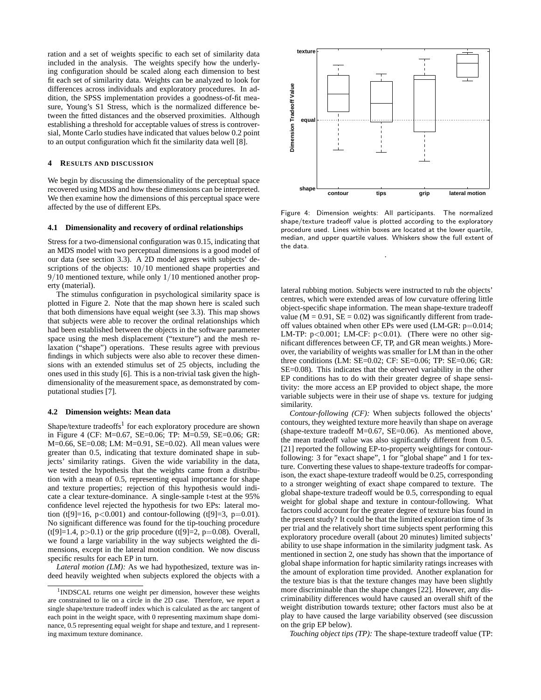ration and a set of weights specific to each set of similarity data included in the analysis. The weights specify how the underlying configuration should be scaled along each dimension to best fit each set of similarity data. Weights can be analyzed to look for differences across individuals and exploratory procedures. In addition, the SPSS implementation provides a goodness-of-fit measure, Young's S1 Stress, which is the normalized difference between the fitted distances and the observed proximities. Although establishing a threshold for acceptable values of stress is controversial, Monte Carlo studies have indicated that values below 0.2 point to an output configuration which fit the similarity data well [8].

### **4 RESULTS AND DISCUSSION**

We begin by discussing the dimensionality of the perceptual space recovered using MDS and how these dimensions can be interpreted. We then examine how the dimensions of this perceptual space were affected by the use of different EPs.

#### **4.1 Dimensionality and recovery of ordinal relationships**

Stress for a two-dimensional configuration was 0.15, indicating that an MDS model with two perceptual dimensions is a good model of our data (see section 3.3). A 2D model agrees with subjects' descriptions of the objects:  $10/10$  mentioned shape properties and 9/10 mentioned texture, while only 1/10 mentioned another property (material).

The stimulus configuration in psychological similarity space is plotted in Figure 2. Note that the map shown here is scaled such that both dimensions have equal weight (see 3.3). This map shows that subjects were able to recover the ordinal relationships which had been established between the objects in the software parameter space using the mesh displacement ("texture") and the mesh relaxation ("shape") operations. These results agree with previous findings in which subjects were also able to recover these dimensions with an extended stimulus set of 25 objects, including the ones used in this study [6]. This is a non-trivial task given the highdimensionality of the measurement space, as demonstrated by computational studies [7].

#### **4.2 Dimension weights: Mean data**

Shape/texture tradeoffs<sup>1</sup> for each exploratory procedure are shown in Figure 4 (CF: M=0.67, SE=0.06; TP: M=0.59, SE=0.06; GR: M=0.66, SE=0.08; LM: M=0.91, SE=0.02). All mean values were greater than 0.5, indicating that texture dominated shape in subjects' similarity ratings. Given the wide variability in the data, we tested the hypothesis that the weights came from a distribution with a mean of 0.5, representing equal importance for shape and texture properties; rejection of this hypothesis would indicate a clear texture-dominance. A single-sample t-test at the 95% confidence level rejected the hypothesis for two EPs: lateral motion (t[9]=16,  $p < 0.001$ ) and contour-following (t[9]=3,  $p = 0.01$ ). No significant difference was found for the tip-touching procedure  $(t[9]=1.4, p>0.1)$  or the grip procedure  $(t[9]=2, p=0.08)$ . Overall, we found a large variability in the way subjects weighted the dimensions, except in the lateral motion condition. We now discuss specific results for each EP in turn.

*Lateral motion (LM):* As we had hypothesized, texture was indeed heavily weighted when subjects explored the objects with a



Figure 4: Dimension weights: All participants. The normalized shape/texture tradeoff value is plotted according to the exploratory procedure used. Lines within boxes are located at the lower quartile, median, and upper quartile values. Whiskers show the full extent of the data.

.

lateral rubbing motion. Subjects were instructed to rub the objects' centres, which were extended areas of low curvature offering little object-specific shape information. The mean shape-texture tradeoff value ( $M = 0.91$ ,  $SE = 0.02$ ) was significantly different from tradeoff values obtained when other EPs were used (LM-GR: p=0.014; LM-TP:  $p < 0.001$ ; LM-CF:  $p < 0.01$ ). (There were no other significant differences between CF, TP, and GR mean weights.) Moreover, the variability of weights was smaller for LM than in the other three conditions (LM: SE=0.02; CF: SE=0.06; TP: SE=0.06; GR: SE=0.08). This indicates that the observed variability in the other EP conditions has to do with their greater degree of shape sensitivity: the more access an EP provided to object shape, the more variable subjects were in their use of shape vs. texture for judging similarity.

*Contour-following (CF):* When subjects followed the objects' contours, they weighted texture more heavily than shape on average (shape-texture tradeoff M=0.67, SE=0.06). As mentioned above, the mean tradeoff value was also significantly different from 0.5. [21] reported the following EP-to-property weightings for contourfollowing: 3 for "exact shape", 1 for "global shape" and 1 for texture. Converting these values to shape-texture tradeoffs for comparison, the exact shape-texture tradeoff would be 0.25, corresponding to a stronger weighting of exact shape compared to texture. The global shape-texture tradeoff would be 0.5, corresponding to equal weight for global shape and texture in contour-following. What factors could account for the greater degree of texture bias found in the present study? It could be that the limited exploration time of 3s per trial and the relatively short time subjects spent performing this exploratory procedure overall (about 20 minutes) limited subjects' ability to use shape information in the similarity judgment task. As mentioned in section 2, one study has shown that the importance of global shape information for haptic similarity ratings increases with the amount of exploration time provided. Another explanation for the texture bias is that the texture changes may have been slightly more discriminable than the shape changes [22]. However, any discriminability differences would have caused an overall shift of the weight distribution towards texture; other factors must also be at play to have caused the large variability observed (see discussion on the grip EP below).

*Touching object tips (TP):* The shape-texture tradeoff value (TP:

<sup>&</sup>lt;sup>1</sup>INDSCAL returns one weight per dimension, however these weights are constrained to lie on a circle in the 2D case. Therefore, we report a single shape/texture tradeoff index which is calculated as the arc tangent of each point in the weight space, with 0 representing maximum shape dominance, 0.5 representing equal weight for shape and texture, and 1 representing maximum texture dominance.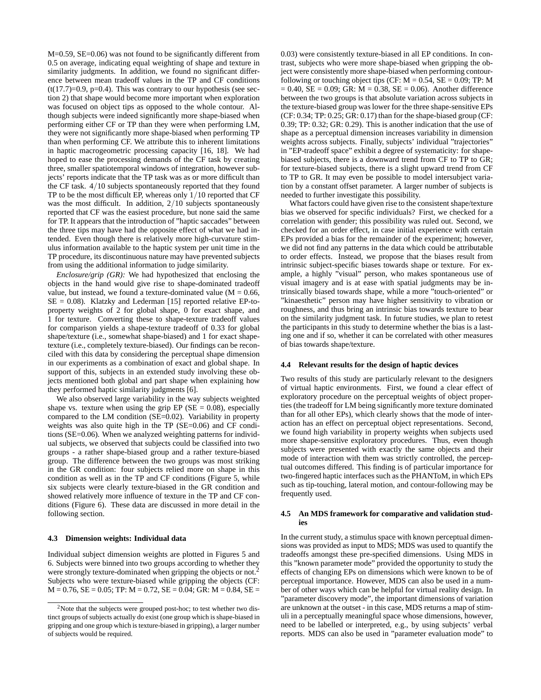M=0.59, SE=0.06) was not found to be significantly different from 0.5 on average, indicating equal weighting of shape and texture in similarity judgments. In addition, we found no significant difference between mean tradeoff values in the TP and CF conditions  $(t(17.7)=0.9, p=0.4)$ . This was contrary to our hypothesis (see section 2) that shape would become more important when exploration was focused on object tips as opposed to the whole contour. Although subjects were indeed significantly more shape-biased when performing either CF or TP than they were when performing LM, they were not significantly more shape-biased when performing TP than when performing CF. We attribute this to inherent limitations in haptic macrogeometric processing capacity [16, 18]. We had hoped to ease the processing demands of the CF task by creating three, smaller spatiotemporal windows of integration, however subjects' reports indicate that the TP task was as or more difficult than the CF task. 4/10 subjects spontaneously reported that they found TP to be the most difficult EP, whereas only 1/10 reported that CF was the most difficult. In addition, 2/10 subjects spontaneously reported that CF was the easiest procedure, but none said the same for TP. It appears that the introduction of "haptic saccades" between the three tips may have had the opposite effect of what we had intended. Even though there is relatively more high-curvature stimulus information available to the haptic system per unit time in the TP procedure, its discontinuous nature may have prevented subjects from using the additional information to judge similarity.

*Enclosure/grip (GR):* We had hypothesized that enclosing the objects in the hand would give rise to shape-dominated tradeoff value, but instead, we found a texture-dominated value ( $M = 0.66$ , SE = 0.08). Klatzky and Lederman [15] reported relative EP-toproperty weights of 2 for global shape, 0 for exact shape, and 1 for texture. Converting these to shape-texture tradeoff values for comparison yields a shape-texture tradeoff of 0.33 for global shape/texture (i.e., somewhat shape-biased) and 1 for exact shapetexture (i.e., completely texture-biased). Our findings can be reconciled with this data by considering the perceptual shape dimension in our experiments as a combination of exact and global shape. In support of this, subjects in an extended study involving these objects mentioned both global and part shape when explaining how they performed haptic similarity judgments [6].

We also observed large variability in the way subjects weighted shape vs. texture when using the grip  $EP(SE = 0.08)$ , especially compared to the LM condition (SE=0.02). Variability in property weights was also quite high in the TP (SE=0.06) and CF conditions (SE=0.06). When we analyzed weighting patterns for individual subjects, we observed that subjects could be classified into two groups - a rather shape-biased group and a rather texture-biased group. The difference between the two groups was most striking in the GR condition: four subjects relied more on shape in this condition as well as in the TP and CF conditions (Figure 5, while six subjects were clearly texture-biased in the GR condition and showed relatively more influence of texture in the TP and CF conditions (Figure 6). These data are discussed in more detail in the following section.

# **4.3 Dimension weights: Individual data**

Individual subject dimension weights are plotted in Figures 5 and 6. Subjects were binned into two groups according to whether they were strongly texture-dominated when gripping the objects or not.<sup>2</sup> Subjects who were texture-biased while gripping the objects (CF:  $M = 0.76$ ,  $SE = 0.05$ ; TP:  $M = 0.72$ ,  $SE = 0.04$ ; GR:  $M = 0.84$ ,  $SE =$ 

0.03) were consistently texture-biased in all EP conditions. In contrast, subjects who were more shape-biased when gripping the object were consistently more shape-biased when performing contourfollowing or touching object tips (CF:  $M = 0.54$ , SE = 0.09; TP: M  $= 0.40$ , SE  $= 0.09$ ; GR: M  $= 0.38$ , SE  $= 0.06$ ). Another difference between the two groups is that absolute variation across subjects in the texture-biased group was lower for the three shape-sensitive EPs (CF: 0.34; TP: 0.25; GR: 0.17) than for the shape-biased group (CF: 0.39; TP: 0.32; GR: 0.29). This is another indication that the use of shape as a perceptual dimension increases variability in dimension weights across subjects. Finally, subjects' individual "trajectories" in "EP-tradeoff space" exhibit a degree of systematicity: for shapebiased subjects, there is a downward trend from CF to TP to GR; for texture-biased subjects, there is a slight upward trend from CF to TP to GR. It may even be possible to model intersubject variation by a constant offset parameter. A larger number of subjects is needed to further investigate this possibility.

What factors could have given rise to the consistent shape/texture bias we observed for specific individuals? First, we checked for a correlation with gender; this possibility was ruled out. Second, we checked for an order effect, in case initial experience with certain EPs provided a bias for the remainder of the experiment; however, we did not find any patterns in the data which could be attributable to order effects. Instead, we propose that the biases result from intrinsic subject-specific biases towards shape or texture. For example, a highly "visual" person, who makes spontaneous use of visual imagery and is at ease with spatial judgments may be intrinsically biased towards shape, while a more "touch-oriented" or "kinaesthetic" person may have higher sensitivity to vibration or roughness, and thus bring an intrinsic bias towards texture to bear on the similarity judgment task. In future studies, we plan to retest the participants in this study to determine whether the bias is a lasting one and if so, whether it can be correlated with other measures of bias towards shape/texture.

# **4.4 Relevant results for the design of haptic devices**

Two results of this study are particularly relevant to the designers of virtual haptic environments. First, we found a clear effect of exploratory procedure on the perceptual weights of object properties (the tradeoff for LM being significantly more texture dominated than for all other EPs), which clearly shows that the mode of interaction has an effect on perceptual object representations. Second, we found high variability in property weights when subjects used more shape-sensitive exploratory procedures. Thus, even though subjects were presented with exactly the same objects and their mode of interaction with them was strictly controlled, the perceptual outcomes differed. This finding is of particular importance for two-fingered haptic interfaces such as the PHANToM, in which EPs such as tip-touching, lateral motion, and contour-following may be frequently used.

# **4.5 An MDS framework for comparative and validation studies**

In the current study, a stimulus space with known perceptual dimensions was provided as input to MDS; MDS was used to quantify the tradeoffs amongst these pre-specified dimensions. Using MDS in this "known parameter mode" provided the opportunity to study the effects of changing EPs on dimensions which were known to be of perceptual importance. However, MDS can also be used in a number of other ways which can be helpful for virtual reality design. In "parameter discovery mode", the important dimensions of variation are unknown at the outset - in this case, MDS returns a map of stimuli in a perceptually meaningful space whose dimensions, however, need to be labelled or interpreted, e.g., by using subjects' verbal reports. MDS can also be used in "parameter evaluation mode" to

<sup>&</sup>lt;sup>2</sup>Note that the subjects were grouped post-hoc; to test whether two distinct groups of subjects actually do exist (one group which is shape-biased in gripping and one group which is texture-biased in gripping), a larger number of subjects would be required.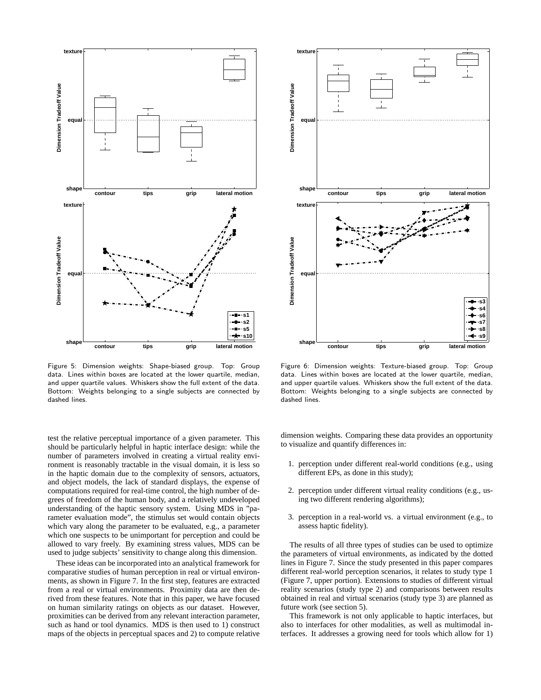

Figure 5: Dimension weights: Shape-biased group. Top: Group data. Lines within boxes are located at the lower quartile, median, and upper quartile values. Whiskers show the full extent of the data. Bottom: Weights belonging to a single subjects are connected by dashed lines.

test the relative perceptual importance of a given parameter. This should be particularly helpful in haptic interface design: while the number of parameters involved in creating a virtual reality environment is reasonably tractable in the visual domain, it is less so in the haptic domain due to the complexity of sensors, actuators, and object models, the lack of standard displays, the expense of computations required for real-time control, the high number of degrees of freedom of the human body, and a relatively undeveloped understanding of the haptic sensory system. Using MDS in "parameter evaluation mode", the stimulus set would contain objects which vary along the parameter to be evaluated, e.g., a parameter which one suspects to be unimportant for perception and could be allowed to vary freely. By examining stress values, MDS can be used to judge subjects' sensitivity to change along this dimension.

These ideas can be incorporated into an analytical framework for comparative studies of human perception in real or virtual environments, as shown in Figure 7. In the first step, features are extracted from a real or virtual environments. Proximity data are then derived from these features. Note that in this paper, we have focused on human similarity ratings on objects as our dataset. However, proximities can be derived from any relevant interaction parameter, such as hand or tool dynamics. MDS is then used to 1) construct maps of the objects in perceptual spaces and 2) to compute relative



Figure 6: Dimension weights: Texture-biased group. Top: Group data. Lines within boxes are located at the lower quartile, median, and upper quartile values. Whiskers show the full extent of the data. Bottom: Weights belonging to a single subjects are connected by dashed lines.

dimension weights. Comparing these data provides an opportunity to visualize and quantify differences in:

- 1. perception under different real-world conditions (e.g., using different EPs, as done in this study);
- 2. perception under different virtual reality conditions (e.g., using two different rendering algorithms);
- 3. perception in a real-world vs. a virtual environment (e.g., to assess haptic fidelity).

The results of all three types of studies can be used to optimize the parameters of virtual environments, as indicated by the dotted lines in Figure 7. Since the study presented in this paper compares different real-world perception scenarios, it relates to study type 1 (Figure 7, upper portion). Extensions to studies of different virtual reality scenarios (study type 2) and comparisons between results obtained in real and virtual scenarios (study type 3) are planned as future work (see section 5).

This framework is not only applicable to haptic interfaces, but also to interfaces for other modalities, as well as multimodal interfaces. It addresses a growing need for tools which allow for 1)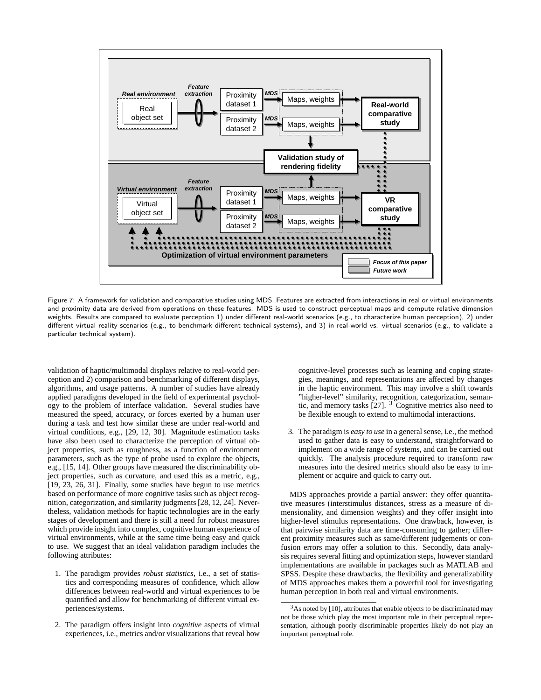

Figure 7: A framework for validation and comparative studies using MDS. Features are extracted from interactions in real or virtual environments and proximity data are derived from operations on these features. MDS is used to construct perceptual maps and compute relative dimension weights. Results are compared to evaluate perception 1) under different real-world scenarios (e.g., to characterize human perception), 2) under different virtual reality scenarios (e.g., to benchmark different technical systems), and 3) in real-world vs. virtual scenarios (e.g., to validate a particular technical system).

validation of haptic/multimodal displays relative to real-world perception and 2) comparison and benchmarking of different displays, algorithms, and usage patterns. A number of studies have already applied paradigms developed in the field of experimental psychology to the problem of interface validation. Several studies have measured the speed, accuracy, or forces exerted by a human user during a task and test how similar these are under real-world and virtual conditions, e.g., [29, 12, 30]. Magnitude estimation tasks have also been used to characterize the perception of virtual object properties, such as roughness, as a function of environment parameters, such as the type of probe used to explore the objects, e.g., [15, 14]. Other groups have measured the discriminability object properties, such as curvature, and used this as a metric, e.g., [19, 23, 26, 31]. Finally, some studies have begun to use metrics based on performance of more cognitive tasks such as object recognition, categorization, and similarity judgments [28, 12, 24]. Nevertheless, validation methods for haptic technologies are in the early stages of development and there is still a need for robust measures which provide insight into complex, cognitive human experience of virtual environments, while at the same time being easy and quick to use. We suggest that an ideal validation paradigm includes the following attributes:

- 1. The paradigm provides *robust statistics*, i.e., a set of statistics and corresponding measures of confidence, which allow differences between real-world and virtual experiences to be quantified and allow for benchmarking of different virtual experiences/systems.
- 2. The paradigm offers insight into *cognitive* aspects of virtual experiences, i.e., metrics and/or visualizations that reveal how

cognitive-level processes such as learning and coping strategies, meanings, and representations are affected by changes in the haptic environment. This may involve a shift towards "higher-level" similarity, recognition, categorization, semantic, and memory tasks  $[27]$ . <sup>3</sup> Cognitive metrics also need to be flexible enough to extend to multimodal interactions.

3. The paradigm is *easy to use* in a general sense, i.e., the method used to gather data is easy to understand, straightforward to implement on a wide range of systems, and can be carried out quickly. The analysis procedure required to transform raw measures into the desired metrics should also be easy to implement or acquire and quick to carry out.

MDS approaches provide a partial answer: they offer quantitative measures (interstimulus distances, stress as a measure of dimensionality, and dimension weights) and they offer insight into higher-level stimulus representations. One drawback, however, is that pairwise similarity data are time-consuming to gather; different proximity measures such as same/different judgements or confusion errors may offer a solution to this. Secondly, data analysis requires several fitting and optimization steps, however standard implementations are available in packages such as MATLAB and SPSS. Despite these drawbacks, the flexibility and generalizability of MDS approaches makes them a powerful tool for investigating human perception in both real and virtual environments.

<sup>&</sup>lt;sup>3</sup>As noted by [10], attributes that enable objects to be discriminated may not be those which play the most important role in their perceptual representation, although poorly discriminable properties likely do not play an important perceptual role.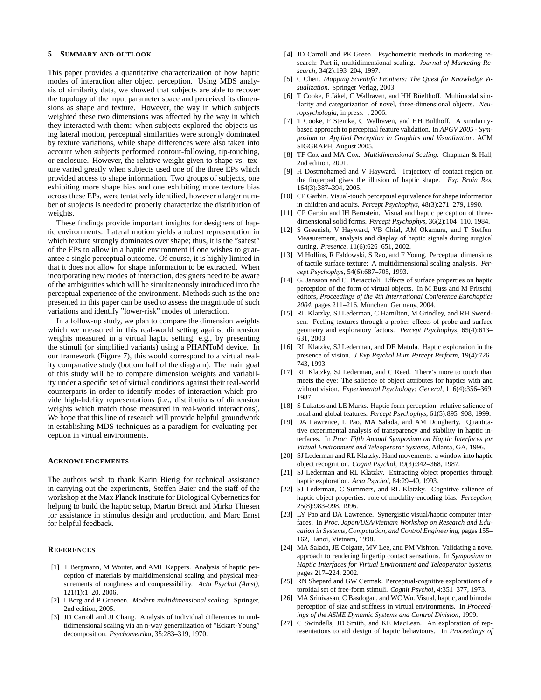# **5 SUMMARY AND OUTLOOK**

This paper provides a quantitative characterization of how haptic modes of interaction alter object perception. Using MDS analysis of similarity data, we showed that subjects are able to recover the topology of the input parameter space and perceived its dimensions as shape and texture. However, the way in which subjects weighted these two dimensions was affected by the way in which they interacted with them: when subjects explored the objects using lateral motion, perceptual similarities were strongly dominated by texture variations, while shape differences were also taken into account when subjects performed contour-following, tip-touching, or enclosure. However, the relative weight given to shape vs. texture varied greatly when subjects used one of the three EPs which provided access to shape information. Two groups of subjects, one exhibiting more shape bias and one exhibiting more texture bias across these EPs, were tentatively identified, however a larger number of subjects is needed to properly characterize the distribution of weights.

These findings provide important insights for designers of haptic environments. Lateral motion yields a robust representation in which texture strongly dominates over shape; thus, it is the "safest" of the EPs to allow in a haptic environment if one wishes to guarantee a single perceptual outcome. Of course, it is highly limited in that it does not allow for shape information to be extracted. When incorporating new modes of interaction, designers need to be aware of the ambiguities which will be simultaneously introduced into the perceptual experience of the environment. Methods such as the one presented in this paper can be used to assess the magnitude of such variations and identify "lower-risk" modes of interaction.

In a follow-up study, we plan to compare the dimension weights which we measured in this real-world setting against dimension weights measured in a virtual haptic setting, e.g., by presenting the stimuli (or simplified variants) using a PHANToM device. In our framework (Figure 7), this would correspond to a virtual reality comparative study (bottom half of the diagram). The main goal of this study will be to compare dimension weights and variability under a specific set of virtual conditions against their real-world counterparts in order to identify modes of interaction which provide high-fidelity representations (i.e., distributions of dimension weights which match those measured in real-world interactions). We hope that this line of research will provide helpful groundwork in establishing MDS techniques as a paradigm for evaluating perception in virtual environments.

#### **ACKNOWLEDGEMENTS**

The authors wish to thank Karin Bierig for technical assistance in carrying out the experiments, Steffen Baier and the staff of the workshop at the Max Planck Institute for Biological Cybernetics for helping to build the haptic setup, Martin Breidt and Mirko Thiesen for assistance in stimulus design and production, and Marc Ernst for helpful feedback.

# **REFERENCES**

- [1] T Bergmann, M Wouter, and AML Kappers. Analysis of haptic perception of materials by multidimensional scaling and physical measurements of roughness and compressibility. *Acta Psychol (Amst)*, 121(1):1–20, 2006.
- [2] I Borg and P Groenen. *Modern multidimensional scaling*. Springer, 2nd edition, 2005.
- [3] JD Carroll and JJ Chang. Analysis of individual differences in multidimensional scaling via an n-way generalization of "Eckart-Young" decomposition. *Psychometrika*, 35:283–319, 1970.
- [4] JD Carroll and PE Green. Psychometric methods in marketing research: Part ii, multidimensional scaling. *Journal of Marketing Research*, 34(2):193–204, 1997.
- [5] C Chen. *Mapping Scientific Frontiers: The Quest for Knowledge Visualization*. Springer Verlag, 2003.
- [6] T Cooke, F Jäkel, C Wallraven, and HH Büelthoff. Multimodal similarity and categorization of novel, three-dimensional objects. *Neuropsychologia*, in press:–, 2006.
- [7] T Cooke, F Steinke, C Wallraven, and HH Bülthoff. A similaritybased approach to perceptual feature validation. In *APGV 2005 - Symposium on Applied Perception in Graphics and Visualization*. ACM SIGGRAPH, August 2005.
- [8] TF Cox and MA Cox. *Multidimensional Scaling*. Chapman & Hall, 2nd edition, 2001.
- [9] H Dostmohamed and V Hayward. Trajectory of contact region on the fingerpad gives the illusion of haptic shape. *Exp Brain Res*, 164(3):387–394, 2005.
- [10] CP Garbin. Visual-touch perceptual equivalence for shape information in children and adults. *Percept Psychophys*, 48(3):271–279, 1990.
- [11] CP Garbin and IH Bernstein. Visual and haptic perception of threedimensional solid forms. *Percept Psychophys*, 36(2):104–110, 1984.
- [12] S Greenish, V Hayward, VB Chial, AM Okamura, and T Steffen. Measurement, analysis and display of haptic signals during surgical cutting. *Presence*, 11(6):626–651, 2002.
- [13] M Hollins, R Faldowski, S Rao, and F Young. Perceptual dimensions of tactile surface texture: A multidimensional scaling analysis. *Percept Psychophys*, 54(6):687–705, 1993.
- [14] G. Jansson and C. Pieraccioli. Effects of surface properties on haptic perception of the form of virtual objects. In M Buss and M Fritschi, editors, *Proceedings of the 4th International Conference Eurohaptics* 2004, pages 211–216, München, Germany, 2004.
- [15] RL Klatzky, SJ Lederman, C Hamilton, M Grindley, and RH Swendsen. Feeling textures through a probe: effects of probe and surface geometry and exploratory factors. *Percept Psychophys*, 65(4):613– 631, 2003.
- [16] RL Klatzky, SJ Lederman, and DE Matula. Haptic exploration in the presence of vision. *J Exp Psychol Hum Percept Perform*, 19(4):726– 743, 1993.
- [17] RL Klatzky, SJ Lederman, and C Reed. There's more to touch than meets the eye: The salience of object attributes for haptics with and without vision. *Experimental Psychology: General*, 116(4):356–369, 1987.
- [18] S Lakatos and LE Marks. Haptic form perception: relative salience of local and global features. *Percept Psychophys*, 61(5):895–908, 1999.
- [19] DA Lawrence, L Pao, MA Salada, and AM Dougherty. Quantitative experimental analysis of transparency and stability in haptic interfaces. In *Proc. Fifth Annual Symposium on Haptic Interfaces for Virtual Environment and Teleoperator Systems*, Atlanta, GA, 1996.
- [20] SJ Lederman and RL Klatzky. Hand movements: a window into haptic object recognition. *Cognit Psychol*, 19(3):342–368, 1987.
- [21] SJ Lederman and RL Klatzky. Extracting object properties through haptic exploration. *Acta Psychol*, 84:29–40, 1993.
- [22] SJ Lederman, C Summers, and RL Klatzky. Cognitive salience of haptic object properties: role of modality-encoding bias. *Perception*, 25(8):983–998, 1996.
- [23] LY Pao and DA Lawrence. Synergistic visual/haptic computer interfaces. In *Proc. Japan/USA/Vietnam Workshop on Research and Education in Systems, Computation, and Control Engineering*, pages 155– 162, Hanoi, Vietnam, 1998.
- [24] MA Salada, JE Colgate, MV Lee, and PM Vishton. Validating a novel approach to rendering fingertip contact sensations. In *Symposium on Haptic Interfaces for Virtual Environment and Teleoperator Systems*, pages 217–224, 2002.
- [25] RN Shepard and GW Cermak. Perceptual-cognitive explorations of a toroidal set of free-form stimuli. *Cognit Psychol*, 4:351–377, 1973.
- [26] MA Srinivasan, C Basdogan, and WC Wu. Visual, haptic, and bimodal perception of size and stiffness in virtual environments. In *Proceedings of the ASME Dynamic Systems and Control Division*, 1999.
- C Swindells, JD Smith, and KE MacLean. An exploration of representations to aid design of haptic behaviours. In *Proceedings of*